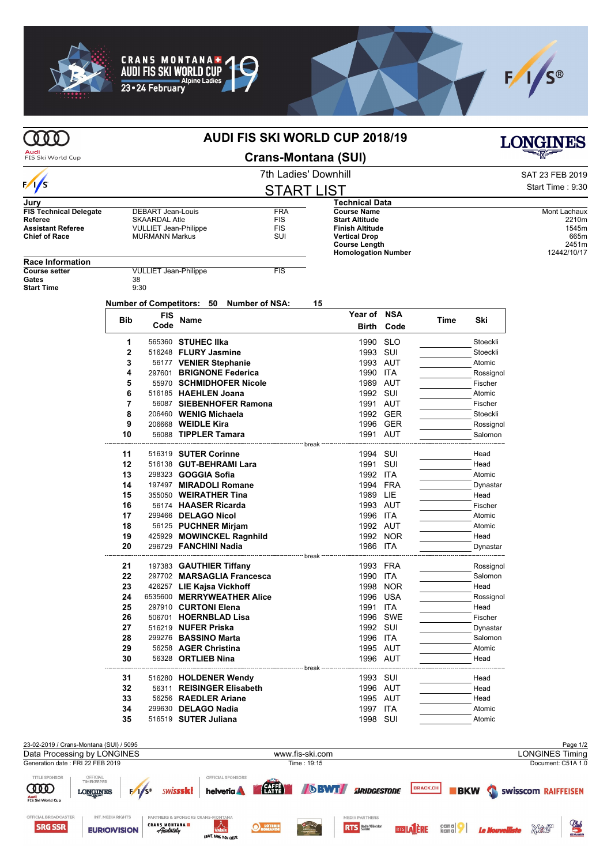



PARTNERS & SPONSORS CRANS-MONTANA<br>CRANS MONTANA **D**<br>Hatais *Absolutely* 

GRAVÉ DANS MON COEUR

**O**LOTERIE

Limitesine

OFFICIAL BROADCASTER

**SRG SSR** 

INT. MEDIA RIGHTS

**EURIOWISION** 



|                                                                        |                             |                                                      |                                                    | <b>AUDI FIS SKI WORLD CUP 2018/19</b> |                                                 |                    |      |                | <b>LONGINES</b>                    |
|------------------------------------------------------------------------|-----------------------------|------------------------------------------------------|----------------------------------------------------|---------------------------------------|-------------------------------------------------|--------------------|------|----------------|------------------------------------|
| Audi<br>FIS Ski World Cup                                              |                             |                                                      |                                                    | <b>Crans-Montana (SUI)</b>            |                                                 |                    |      |                |                                    |
|                                                                        | <b>7th Ladies' Downhill</b> |                                                      |                                                    |                                       |                                                 |                    |      |                | SAT 23 FEB 2019                    |
| $\sqrt{s}$                                                             |                             |                                                      |                                                    | <b>START LIST</b>                     |                                                 |                    |      |                | Start Time: 9:30                   |
| Jury                                                                   |                             |                                                      |                                                    |                                       | Technical Data                                  |                    |      |                |                                    |
| <b>FIS Technical Delegate</b>                                          |                             | DEBART Jean-Louis                                    |                                                    | <b>FRA</b>                            | <b>Course Name</b>                              |                    |      |                | Mont Lachaux                       |
| Referee<br><b>Assistant Referee</b>                                    |                             | <b>SKAARDAL Atle</b><br><b>VULLIET Jean-Philippe</b> |                                                    | <b>FIS</b><br>FIS                     | <b>Start Altitude</b><br><b>Finish Altitude</b> |                    |      |                | 2210m<br>1545m                     |
| <b>Chief of Race</b>                                                   |                             | <b>MURMANN Markus</b>                                |                                                    | SUI                                   | <b>Vertical Drop</b><br><b>Course Length</b>    |                    |      |                | 665m<br>2451m<br>12442/10/17       |
| <b>Race Information</b>                                                |                             |                                                      |                                                    |                                       | <b>Homologation Number</b>                      |                    |      |                |                                    |
| <b>Course setter</b>                                                   |                             | <b>VULLIET Jean-Philippe</b>                         |                                                    | <b>FIS</b>                            |                                                 |                    |      |                |                                    |
| Gates<br><b>Start Time</b>                                             | 38<br>9:30                  |                                                      |                                                    |                                       |                                                 |                    |      |                |                                    |
|                                                                        |                             |                                                      | Number of Competitors: 50<br><b>Number of NSA:</b> | 15                                    |                                                 |                    |      |                |                                    |
|                                                                        | Bib                         | FIS<br>Code                                          | Name                                               |                                       | Year of NSA                                     |                    | Time | Ski            |                                    |
|                                                                        | 1                           |                                                      | 565360 STUHEC IIka                                 |                                       | Birth                                           | Code<br><b>SLO</b> |      | Stoeckli       |                                    |
|                                                                        | $\overline{2}$              |                                                      | 516248 FLURY Jasmine                               |                                       | 1990<br>1993                                    | SUI                |      | Stoeckli       |                                    |
|                                                                        | 3                           |                                                      | 56177 VENIER Stephanie                             |                                       | 1993 AUT                                        |                    |      | Atomic         |                                    |
|                                                                        | 4                           |                                                      | 297601 BRIGNONE Federica                           |                                       | 1990 ITA                                        |                    |      | Rossignol      |                                    |
|                                                                        | 5                           |                                                      | 55970 SCHMIDHOFER Nicole                           |                                       | 1989 AUT                                        |                    |      | Fischer        |                                    |
|                                                                        | 6                           |                                                      | 516185 HAEHLEN Joana                               |                                       | 1992 SUI                                        |                    |      | Atomic         |                                    |
|                                                                        | 7                           |                                                      | 56087 SIEBENHOFER Ramona                           |                                       | 1991 AUT                                        |                    |      | Fischer        |                                    |
|                                                                        | 8                           |                                                      | 206460 WENIG Michaela                              |                                       |                                                 | 1992 GER           |      | Stoeckli       |                                    |
|                                                                        | 9                           |                                                      | 206668 WEIDLE Kira                                 |                                       | 1996                                            | GER                |      | Rossignol      |                                    |
|                                                                        | 10                          |                                                      | 56088 TIPPLER Tamara                               |                                       | 1991                                            | AUT                |      | Salomon        |                                    |
|                                                                        | 11                          |                                                      | 516319 SUTER Corinne                               | break                                 | 1994                                            | SUI                |      | Head           |                                    |
|                                                                        | 12                          |                                                      | 516138 GUT-BEHRAMI Lara                            |                                       | 1991 SUI                                        |                    |      | Head           |                                    |
|                                                                        | 13                          |                                                      | 298323 <b>GOGGIA Sofia</b>                         |                                       | 1992 ITA                                        |                    |      | Atomic         |                                    |
|                                                                        | 14                          |                                                      | 197497 MIRADOLI Romane                             |                                       | 1994                                            | FRA                |      | Dynastar       |                                    |
|                                                                        | 15                          |                                                      | 355050 WEIRATHER Tina                              |                                       | 1989 LIE                                        |                    |      | Head           |                                    |
|                                                                        | 16                          |                                                      | 56174 HAASER Ricarda                               |                                       | 1993 AUT                                        |                    |      | Fischer        |                                    |
|                                                                        | 17                          |                                                      | 299466 DELAGO Nicol                                |                                       | 1996 ITA                                        |                    |      | Atomic         |                                    |
|                                                                        | 18                          |                                                      | 56125 PUCHNER Mirjam                               |                                       | 1992 AUT                                        |                    |      | Atomic         |                                    |
|                                                                        | 19                          |                                                      | 425929 MOWINCKEL Ragnhild                          |                                       |                                                 | 1992 NOR           |      | Head           |                                    |
|                                                                        | 20                          |                                                      | 296729 FANCHINI Nadia                              | break ------------                    | 1986                                            | ITA                |      | Dynastar       |                                    |
|                                                                        | 21                          |                                                      | 197383 GAUTHIER Tiffany                            |                                       | 1993 FRA                                        |                    |      | Rossignol      |                                    |
|                                                                        | 22                          |                                                      | 297702 MARSAGLIA Francesca                         |                                       | 1990 ITA                                        |                    |      | Salomon        |                                    |
|                                                                        | 23                          |                                                      | 426257 LIE Kajsa Vickhoff                          |                                       |                                                 | 1998 NOR           |      | Head           |                                    |
|                                                                        | 24                          |                                                      | 6535600 MERRYWEATHER Alice                         |                                       |                                                 | 1996 USA           |      | Rossignol      |                                    |
|                                                                        | 25                          |                                                      | 297910 CURTONI Elena                               |                                       | 1991 ITA                                        |                    |      | Head           |                                    |
|                                                                        | 26                          |                                                      | 506701 HOERNBLAD Lisa                              |                                       |                                                 | 1996 SWE           |      | Fischer        |                                    |
|                                                                        | 27                          |                                                      | 516219 NUFER Priska                                |                                       | 1992 SUI                                        |                    |      | Dynastar       |                                    |
|                                                                        | 28                          |                                                      | 299276 BASSINO Marta                               |                                       | 1996 ITA                                        |                    |      | Salomon        |                                    |
|                                                                        | 29<br>30                    |                                                      | 56258 AGER Christina<br>56328 ORTLIEB Nina         |                                       | 1995 AUT<br>1996 AUT                            |                    |      | Atomic<br>Head |                                    |
|                                                                        |                             |                                                      |                                                    | break                                 |                                                 |                    |      |                |                                    |
|                                                                        | 31<br>32                    |                                                      | 516280 HOLDENER Wendy<br>56311 REISINGER Elisabeth |                                       | 1993 SUI                                        |                    |      | Head           |                                    |
|                                                                        | 33                          |                                                      | 56256 RAEDLER Ariane                               |                                       | 1996 AUT<br>1995 AUT                            |                    |      | Head           |                                    |
|                                                                        | 34                          |                                                      | 299630 DELAGO Nadia                                |                                       | 1997 ITA                                        |                    |      | Head<br>Atomic |                                    |
|                                                                        | 35                          |                                                      | 516519 SUTER Juliana                               |                                       | 1998 SUI                                        |                    |      | Atomic         |                                    |
|                                                                        |                             |                                                      |                                                    |                                       |                                                 |                    |      |                |                                    |
| 23-02-2019 / Crans-Montana (SUI) / 5095<br>Data Processing by LONGINES |                             |                                                      |                                                    | www.fis-ski.com                       |                                                 |                    |      |                | Page 1/2<br><b>LONGINES Timing</b> |
| Generation date: FRI 22 FEB 2019                                       |                             |                                                      |                                                    | Time: 19:15                           |                                                 |                    |      |                | Document: C51A 1.0                 |
| TITLE SPONSOR<br>OFFICIAL<br>TIMEKEEPER                                |                             |                                                      | OFFICIAL SPONSORS                                  | <b>EAFFET</b><br><b>DBWT</b>          |                                                 |                    |      |                |                                    |

MEDIA PARTNERS

**RTS** Bolo Western **RTS | ALL ALL AREA | RESEARCH AND INCORDUSTION** 

 $\underbrace{Q_{lub}}_{\text{measurable}}$